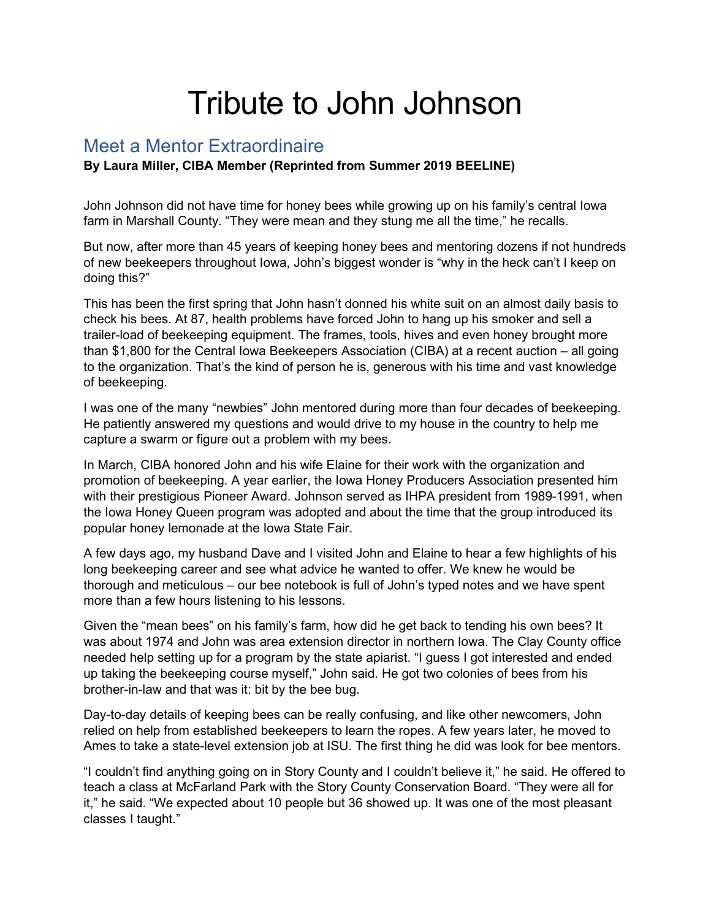## Tribute to John Johnson

## Meet a Mentor Extraordinaire

## **By Laura Miller, CIBA Member (Reprinted from Summer 2019 BEELINE)**

John Johnson did not have time for honey bees while growing up on his family's central Iowa farm in Marshall County. "They were mean and they stung me all the time," he recalls.

But now, after more than 45 years of keeping honey bees and mentoring dozens if not hundreds of new beekeepers throughout Iowa, John's biggest wonder is "why in the heck can't I keep on doing this?"

This has been the first spring that John hasn't donned his white suit on an almost daily basis to check his bees. At 87, health problems have forced John to hang up his smoker and sell a trailer-load of beekeeping equipment. The frames, tools, hives and even honey brought more than \$1,800 for the Central Iowa Beekeepers Association (CIBA) at a recent auction – all going to the organization. That's the kind of person he is, generous with his time and vast knowledge of beekeeping.

I was one of the many "newbies" John mentored during more than four decades of beekeeping. He patiently answered my questions and would drive to my house in the country to help me capture a swarm or figure out a problem with my bees.

In March, CIBA honored John and his wife Elaine for their work with the organization and promotion of beekeeping. A year earlier, the Iowa Honey Producers Association presented him with their prestigious Pioneer Award. Johnson served as IHPA president from 1989-1991, when the Iowa Honey Queen program was adopted and about the time that the group introduced its popular honey lemonade at the Iowa State Fair.

A few days ago, my husband Dave and I visited John and Elaine to hear a few highlights of his long beekeeping career and see what advice he wanted to offer. We knew he would be thorough and meticulous – our bee notebook is full of John's typed notes and we have spent more than a few hours listening to his lessons.

Given the "mean bees" on his family's farm, how did he get back to tending his own bees? It was about 1974 and John was area extension director in northern Iowa. The Clay County office needed help setting up for a program by the state apiarist. "I guess I got interested and ended up taking the beekeeping course myself," John said. He got two colonies of bees from his brother-in-law and that was it: bit by the bee bug.

Day-to-day details of keeping bees can be really confusing, and like other newcomers, John relied on help from established beekeepers to learn the ropes. A few years later, he moved to Ames to take a state-level extension job at ISU. The first thing he did was look for bee mentors.

"I couldn't find anything going on in Story County and I couldn't believe it," he said. He offered to teach a class at McFarland Park with the Story County Conservation Board. "They were all for it," he said. "We expected about 10 people but 36 showed up. It was one of the most pleasant classes I taught."